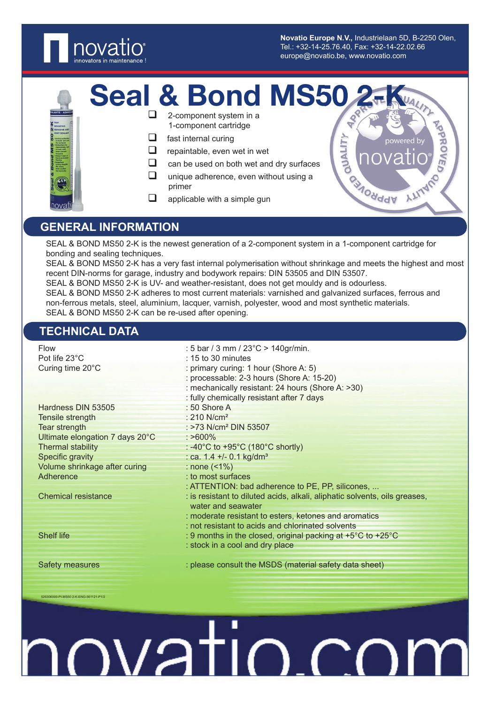

**Novatio Europe N.V.,** Industrielaan 5D, B-2250 Olen, Tel.: +32-14-25.76.40, Fax: +32-14-22.02.66 europe@novatio.be, www.novatio.com

**MONddy** 

**ALY** 

THAUP

PPRO

- Seal & Bond MS50
	- 2-component system in a 1-component cartridge
	- $\Box$  fast internal curing
	- $\Box$  repaintable, even wet in wet
	- $\Box$  can be used on both wet and dry surfaces
	- $\Box$  unique adherence, even without using a primer
	- $\Box$  applicable with a simple gun

# **GENERAL INFORMATION**

SEAL & BOND MS50 2-K is the newest generation of a 2-component system in a 1-component cartridge for bonding and sealing techniques.

SEAL & BOND MS50 2-K has a very fast internal polymerisation without shrinkage and meets the highest and most recent DIN-norms for garage, industry and bodywork repairs: DIN 53505 and DIN 53507.

SEAL & BOND MS50 2-K is UV- and weather-resistant, does not get mouldy and is odourless.

SEAL & BOND MS50 2-K adheres to most current materials: varnished and galvanized surfaces, ferrous and non-ferrous metals, steel, aluminium, lacquer, varnish, polyester, wood and most synthetic materials. SEAL & BOND MS50 2-K can be re-used after opening.

### **TECHNICAL DATA**

526306000-PI-MS50 2-K-ENG-061121-P1/2

| Flow<br>Pot life 23°C           | : 5 bar / 3 mm / $23^{\circ}$ C > 140gr/min.<br>$: 15$ to 30 minutes                                                                    |
|---------------------------------|-----------------------------------------------------------------------------------------------------------------------------------------|
| Curing time 20°C                | : primary curing: 1 hour (Shore A: 5)<br>: processable: 2-3 hours (Shore A: 15-20)<br>: mechanically resistant: 24 hours (Shore A: >30) |
|                                 | : fully chemically resistant after 7 days                                                                                               |
| Hardness DIN 53505              | $: 50$ Shore A                                                                                                                          |
| Tensile strength                | : 210 $N/cm2$                                                                                                                           |
| Tear strength                   | : $>73$ N/cm <sup>2</sup> DIN 53507                                                                                                     |
| Ultimate elongation 7 days 20°C | $: >600\%$                                                                                                                              |
| <b>Thermal stability</b>        | : -40 $^{\circ}$ C to +95 $^{\circ}$ C (180 $^{\circ}$ C shortly)                                                                       |
| Specific gravity                | : ca. $1.4 + (-0.1 \text{ kg/dm}^3)$                                                                                                    |
| Volume shrinkage after curing   | : none $($ < 1 $%$ )                                                                                                                    |
| Adherence                       | : to most surfaces                                                                                                                      |
|                                 | : ATTENTION: bad adherence to PE, PP, silicones,                                                                                        |
| <b>Chemical resistance</b>      | : is resistant to diluted acids, alkali, aliphatic solvents, oils greases,<br>water and seawater                                        |
|                                 | : moderate resistant to esters, ketones and aromatics                                                                                   |
|                                 | : not resistant to acids and chlorinated solvents                                                                                       |
| <b>Shelf life</b>               | : 9 months in the closed, original packing at $+5^{\circ}$ C to $+25^{\circ}$ C                                                         |
|                                 | : stock in a cool and dry place                                                                                                         |
| Safety measures                 | : please consult the MSDS (material safety data sheet)                                                                                  |

ovatio.co